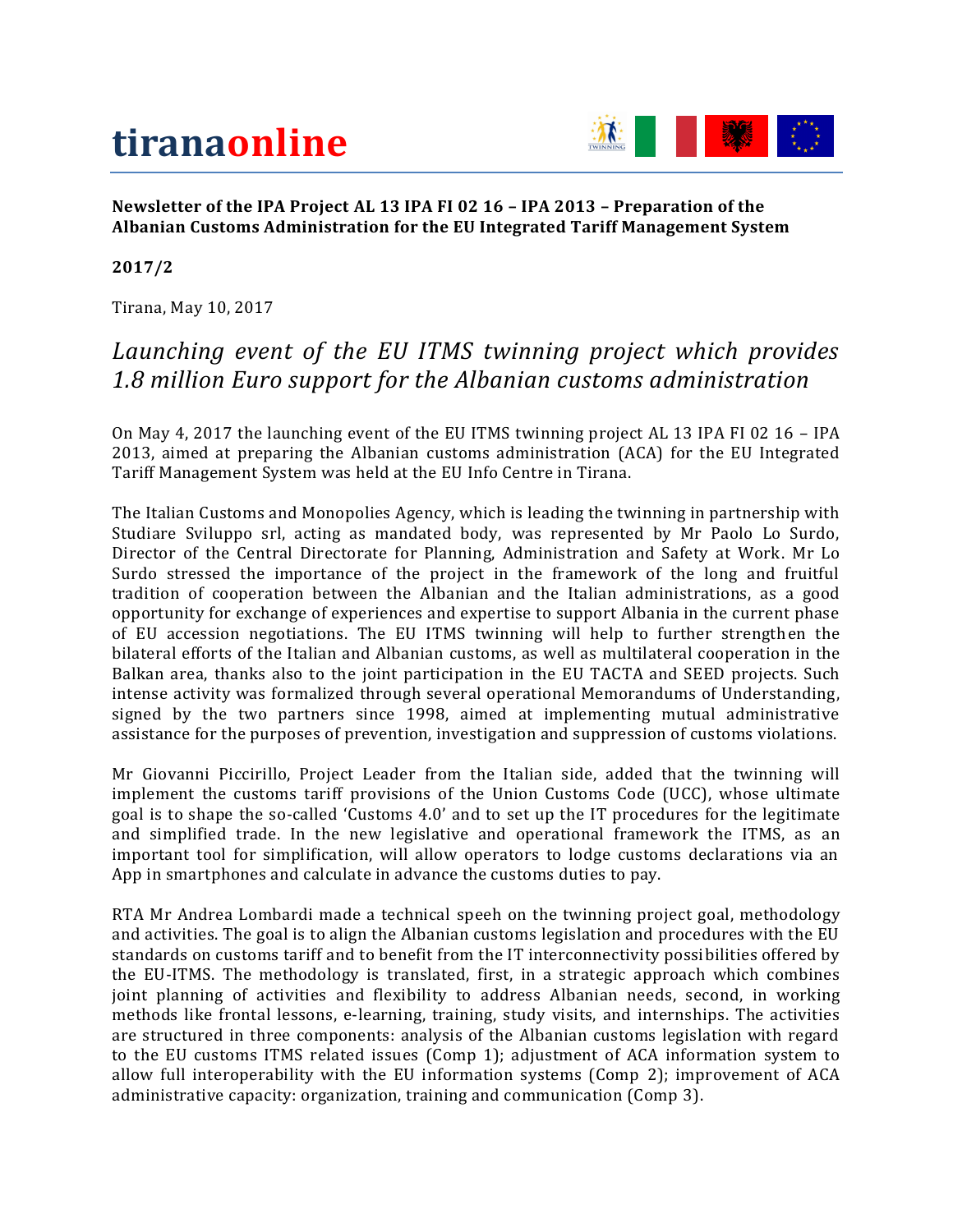# **tiranaonline**



#### **Newsletter of the IPA Project AL 13 IPA FI 02 16 – IPA 2013 – Preparation of the Albanian Customs Administration for the EU Integrated Tariff Management System**

#### **2017/2**

Tirana, May 10, 2017

#### *Launching event of the EU ITMS twinning project which provides 1.8 million Euro support for the Albanian customs administration*

On May 4, 2017 the launching event of the EU ITMS twinning project AL 13 IPA FI 02 16 – IPA 2013, aimed at preparing the Albanian customs administration (ACA) for the EU Integrated Tariff Management System was held at the EU Info Centre in Tirana.

The Italian Customs and Monopolies Agency, which is leading the twinning in partnership with Studiare Sviluppo srl, acting as mandated body, was represented by Mr Paolo Lo Surdo, Director of the Central Directorate for Planning, Administration and Safety at Work. Mr Lo Surdo stressed the importance of the project in the framework of the long and fruitful tradition of cooperation between the Albanian and the Italian administrations, as a good opportunity for exchange of experiences and expertise to support Albania in the current phase of EU accession negotiations. The EU ITMS twinning will help to further strengthen the bilateral efforts of the Italian and Albanian customs, as well as multilateral cooperation in the Balkan area, thanks also to the joint participation in the EU TACTA and SEED projects. Such intense activity was formalized through several operational Memorandums of Understanding, signed by the two partners since 1998, aimed at implementing mutual administrative assistance for the purposes of prevention, investigation and suppression of customs violations.

Mr Giovanni Piccirillo, Project Leader from the Italian side, added that the twinning will implement the customs tariff provisions of the Union Customs Code (UCC), whose ultimate goal is to shape the so-called 'Customs 4.0' and to set up the IT procedures for the legitimate and simplified trade. In the new legislative and operational framework the ITMS, as an important tool for simplification, will allow operators to lodge customs declarations via an App in smartphones and calculate in advance the customs duties to pay.

RTA Mr Andrea Lombardi made a technical speeh on the twinning project goal, methodology and activities. The goal is to align the Albanian customs legislation and procedures with the EU standards on customs tariff and to benefit from the IT interconnectivity possibilities offered by the EU-ITMS. The methodology is translated, first, in a strategic approach which combines joint planning of activities and flexibility to address Albanian needs, second, in working methods like frontal lessons, e-learning, training, study visits, and internships. The activities are structured in three components: analysis of the Albanian customs legislation with regard to the EU customs ITMS related issues (Comp 1); adjustment of ACA information system to allow full interoperability with the EU information systems (Comp 2); improvement of ACA administrative capacity: organization, training and communication (Comp 3).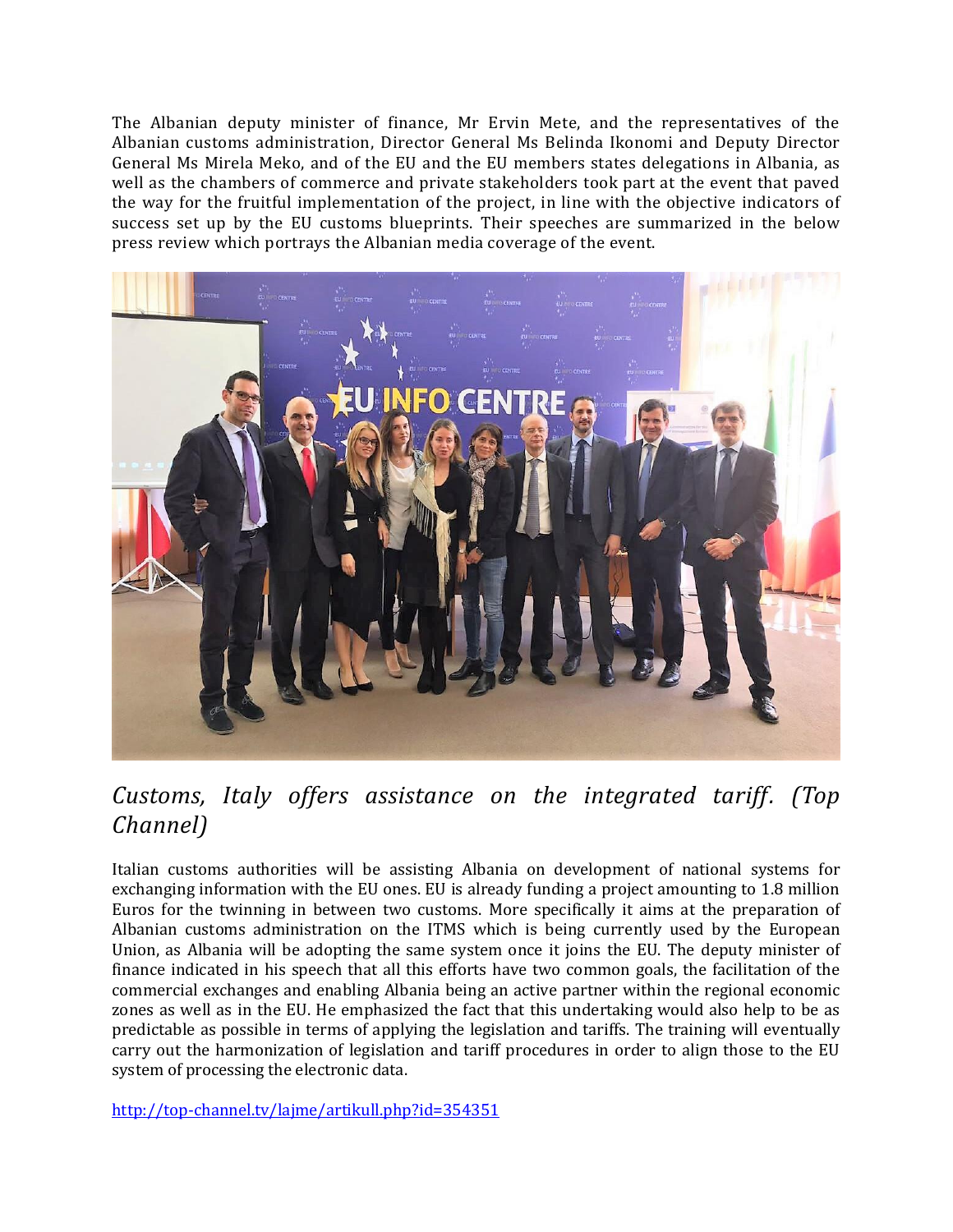The Albanian deputy minister of finance, Mr Ervin Mete, and the representatives of the Albanian customs administration, Director General Ms Belinda Ikonomi and Deputy Director General Ms Mirela Meko, and of the EU and the EU members states delegations in Albania, as well as the chambers of commerce and private stakeholders took part at the event that paved the way for the fruitful implementation of the project, in line with the objective indicators of success set up by the EU customs blueprints. Their speeches are summarized in the below press review which portrays the Albanian media coverage of the event.



## *Customs, Italy offers assistance on the integrated tariff. (Top Channel)*

Italian customs authorities will be assisting Albania on development of national systems for exchanging information with the EU ones. EU is already funding a project amounting to 1.8 million Euros for the twinning in between two customs. More specifically it aims at the preparation of Albanian customs administration on the ITMS which is being currently used by the European Union, as Albania will be adopting the same system once it joins the EU. The deputy minister of finance indicated in his speech that all this efforts have two common goals, the facilitation of the commercial exchanges and enabling Albania being an active partner within the regional economic zones as well as in the EU. He emphasized the fact that this undertaking would also help to be as predictable as possible in terms of applying the legislation and tariffs. The training will eventually carry out the harmonization of legislation and tariff procedures in order to align those to the EU system of processing the electronic data.

<http://top-channel.tv/lajme/artikull.php?id=354351>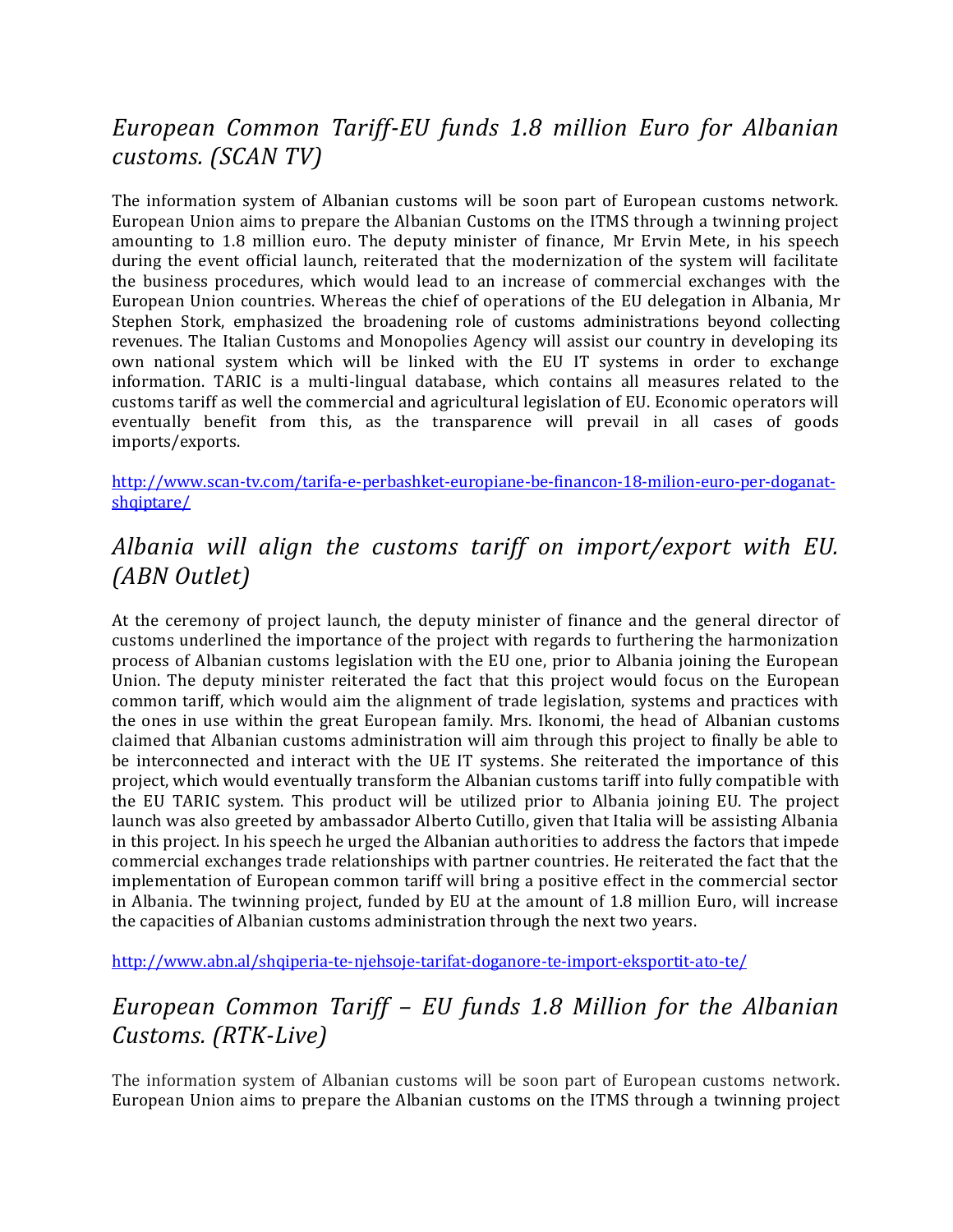## *European Common Tariff-EU funds 1.8 million Euro for Albanian customs. (SCAN TV)*

The information system of Albanian customs will be soon part of European customs network. European Union aims to prepare the Albanian Customs on the ITMS through a twinning project amounting to 1.8 million euro. The deputy minister of finance, Mr Ervin Mete, in his speech during the event official launch, reiterated that the modernization of the system will facilitate the business procedures, which would lead to an increase of commercial exchanges with the European Union countries. Whereas the chief of operations of the EU delegation in Albania, Mr Stephen Stork, emphasized the broadening role of customs administrations beyond collecting revenues. The Italian Customs and Monopolies Agency will assist our country in developing its own national system which will be linked with the EU IT systems in order to exchange information. TARIC is a multi-lingual database, which contains all measures related to the customs tariff as well the commercial and agricultural legislation of EU. Economic operators will eventually benefit from this, as the transparence will prevail in all cases of goods imports/exports.

[http://www.scan-tv.com/tarifa-e-perbashket-europiane-be-financon-18-milion-euro-per-doganat](http://www.scan-tv.com/tarifa-e-perbashket-europiane-be-financon-18-milion-euro-per-doganat-shqiptare/)[shqiptare/](http://www.scan-tv.com/tarifa-e-perbashket-europiane-be-financon-18-milion-euro-per-doganat-shqiptare/)

#### *Albania will align the customs tariff on import/export with EU. (ABN Outlet)*

At the ceremony of project launch, the deputy minister of finance and the general director of customs underlined the importance of the project with regards to furthering the harmonization process of Albanian customs legislation with the EU one, prior to Albania joining the European Union. The deputy minister reiterated the fact that this project would focus on the European common tariff, which would aim the alignment of trade legislation, systems and practices with the ones in use within the great European family. Mrs. Ikonomi, the head of Albanian customs claimed that Albanian customs administration will aim through this project to finally be able to be interconnected and interact with the UE IT systems. She reiterated the importance of this project, which would eventually transform the Albanian customs tariff into fully compatible with the EU TARIC system. This product will be utilized prior to Albania joining EU. The project launch was also greeted by ambassador Alberto Cutillo, given that Italia will be assisting Albania in this project. In his speech he urged the Albanian authorities to address the factors that impede commercial exchanges trade relationships with partner countries. He reiterated the fact that the implementation of European common tariff will bring a positive effect in the commercial sector in Albania. The twinning project, funded by EU at the amount of 1.8 million Euro, will increase the capacities of Albanian customs administration through the next two years.

<http://www.abn.al/shqiperia-te-njehsoje-tarifat-doganore-te-import-eksportit-ato-te/>

# *European Common Tariff – EU funds 1.8 Million for the Albanian Customs. (RTK-Live)*

The information system of Albanian customs will be soon part of European customs network. European Union aims to prepare the Albanian customs on the ITMS through a twinning project